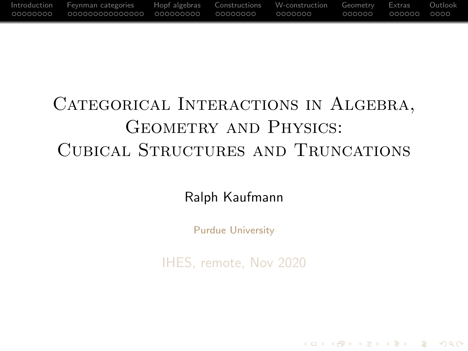<span id="page-0-0"></span>

# CATEGORICAL INTERACTIONS IN ALGEBRA, GEOMETRY AND PHYSICS: Cubical Structures and Truncations

Ralph Kaufmann

Purdue University

IHES, remote, Nov 2020

**KOD KARD KED KED B YOUR**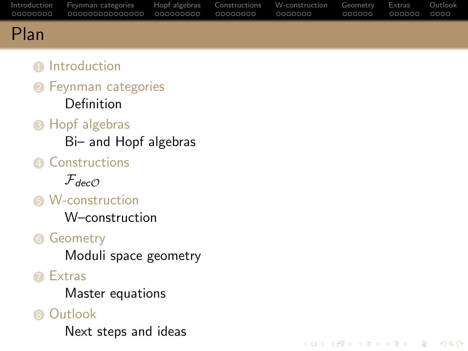<span id="page-1-0"></span>

|      | Introduction Fevnman-categories Hopf-algebras Constructions W-construction Geometry Extras Outlook |  | COOOOO OOOOOO OOOO |  |
|------|----------------------------------------------------------------------------------------------------|--|--------------------|--|
| Plan |                                                                                                    |  |                    |  |

K ロ ▶ K 리 ▶ K 로 ▶ K 로 ▶ - 로 - K 이익(N

### **n** [Introduction](#page-2-0)

- **2** [Feynman categories](#page-10-0) [Definition](#page-10-0)
- **8** [Hopf algebras](#page-25-0)
	- [Bi– and Hopf algebras](#page-25-0)
- **4** [Constructions](#page-34-0)

 $\mathcal{F}_{dec\mathcal{O}}$  $\mathcal{F}_{dec\mathcal{O}}$  $\mathcal{F}_{dec\mathcal{O}}$ 

**6** [W-construction](#page-42-0)

[W–construction](#page-42-0)

### **6 [Geometry](#page-49-0)**

[Moduli space geometry](#page-49-0)

**n** [Extras](#page-55-0)

[Master equations](#page-59-0)

### **8 [Outlook](#page-61-0)**

[Next steps and ideas](#page-61-0)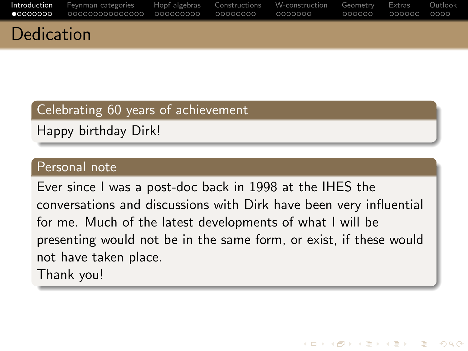<span id="page-2-0"></span>

| Dodication |                                                                                                    |  |  |  |
|------------|----------------------------------------------------------------------------------------------------|--|--|--|
|            | Introduction Feynman categories Hopf algebras Constructions W-construction Geometry Extras Outlook |  |  |  |

#### Celebrating 60 years of achievement

Happy birthday Dirk!

#### Personal note

Dedication

Ever since I was a post-doc back in 1998 at the IHES the conversations and discussions with Dirk have been very influential for me. Much of the latest developments of what I will be presenting would not be in the same form, or exist, if these would not have taken place. Thank you!

KED KAP KED KED E LOQO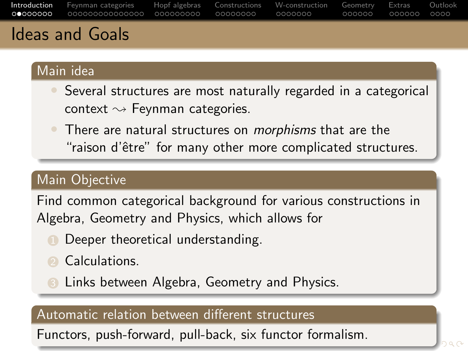<span id="page-3-0"></span>

| Introduction Feynman categories Hopf algebras Constructions W-construction Geometry Extras Outlook |  |  |  |
|----------------------------------------------------------------------------------------------------|--|--|--|
|                                                                                                    |  |  |  |
| Ideas and Castal                                                                                   |  |  |  |

### Ideas and Goals

### Main idea

- Several structures are most naturally regarded in a categorical context  $\rightsquigarrow$  Feynman categories.
- There are natural structures on *morphisms* that are the "raison d'être" for many other more complicated structures.

### Main Objective

Find common categorical background for various constructions in Algebra, Geometry and Physics, which allows for

- **1** Deeper theoretical understanding.
- **2** Calculations.
- Links between Algebra, Geometry and Physics.

### Automatic relation between different structures

Functors, push-forward, pull-back, six functo[r f](#page-2-0)[or](#page-4-0)[m](#page-2-0)[ali](#page-3-0)[s](#page-4-0)[m](#page-1-0)[.](#page-2-0)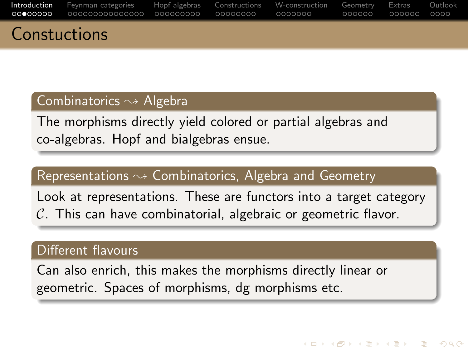<span id="page-4-0"></span>

| $C$ and $\mathbb{L}$ is all $\mathbb{L}$ |                                                                                                    |  |  |  |
|------------------------------------------|----------------------------------------------------------------------------------------------------|--|--|--|
|                                          |                                                                                                    |  |  |  |
|                                          | Introduction Feynman categories Hopf algebras Constructions W-construction Geometry Extras Outlook |  |  |  |

#### Combinatorics  $\sim$  Algebra

Constuctions

The morphisms directly yield colored or partial algebras and co-algebras. Hopf and bialgebras ensue.

#### Representations  $\rightsquigarrow$  Combinatorics, Algebra and Geometry

Look at representations. These are functors into a target category  $\mathcal{C}$ . This can have combinatorial, algebraic or geometric flavor.

#### Different flavours

Can also enrich, this makes the morphisms directly linear or geometric. Spaces of morphisms, dg morphisms etc.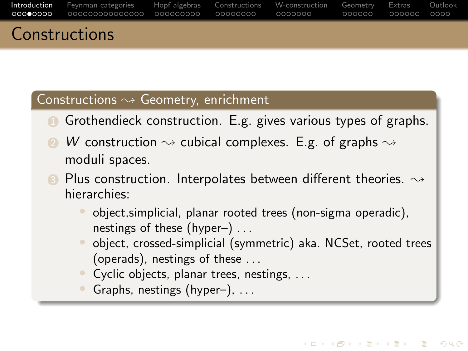| $C$ anotations                                                                                     |  |  |  |
|----------------------------------------------------------------------------------------------------|--|--|--|
| Introduction Feynman-categories Hopf-algebras Constructions W-construction Geometry Extras Outlook |  |  |  |

#### Constructions  $\rightsquigarrow$  Geometry, enrichment

Constructions

- **1** Grothendieck construction. E.g. gives various types of graphs.
- W construction  $\rightsquigarrow$  cubical complexes. E.g. of graphs  $\rightsquigarrow$ moduli spaces.
- Plus construction. Interpolates between different theories.  $\rightsquigarrow$ hierarchies:
	- object,simplicial, planar rooted trees (non-sigma operadic), nestings of these (hyper–) . . .
	- object, crossed-simplicial (symmetric) aka. NCSet, rooted trees (operads), nestings of these . . .

**KORK STRAIN STRAIN** 

- Cyclic objects, planar trees, nestings, ...
- Graphs, nestings (hyper-), ...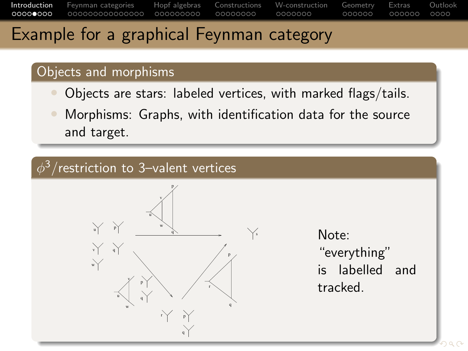### Example for a graphical Feynman category

### Objects and morphisms

- Objects are stars: labeled vertices, with marked flags/tails.
- Morphisms: Graphs, with identification data for the source and target.

### $\phi^3/$ restriction to 3–valent vertices



Note: "everything" is labelled and tracked.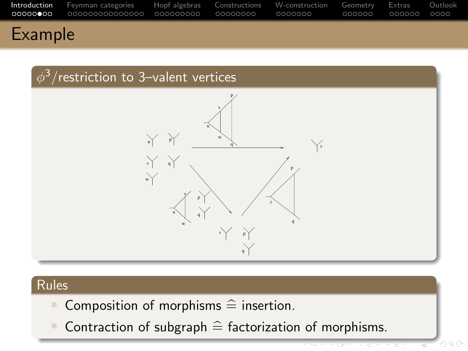



### Rules

- Composition of morphisms  $\hat{=}$  insertion.<br>• Contraction of subgraph  $\hat{=}$  factorization
- Contraction of subgraph  $\widehat{=}$  factorization of morphisms.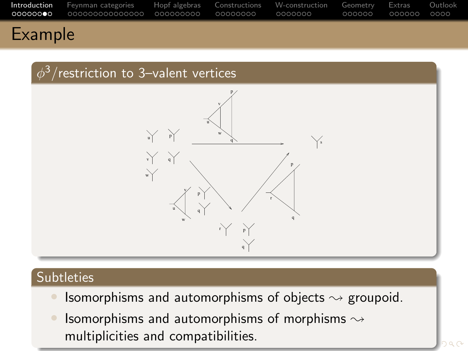|                   | Introduction Feynman-categories Hopf-algebras Constructions W-construction Geometry Extras Outlook |  |  |  |
|-------------------|----------------------------------------------------------------------------------------------------|--|--|--|
| الملمومين وبالتال |                                                                                                    |  |  |  |

### $\phi^3/$ restriction to 3–valent vertices



### **Subtleties**

- Isomorphisms and automorphisms of objects  $\rightsquigarrow$  groupoid.
- Isomorphisms and automorphisms of morphisms  $\rightsquigarrow$ multiplicities and compatibilities.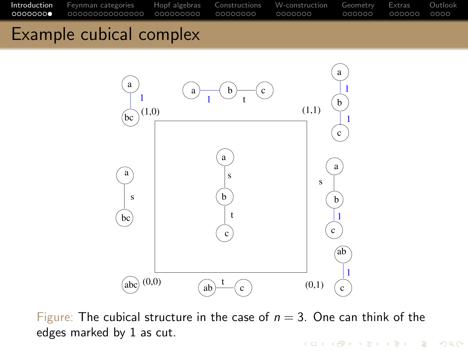<span id="page-9-0"></span>

### Example cubical complex



Figure: The cubical structure in the case of  $n = 3$ . One can think of the edges marked by 1 as cut.

**KOD KARD KED KED B YOUR**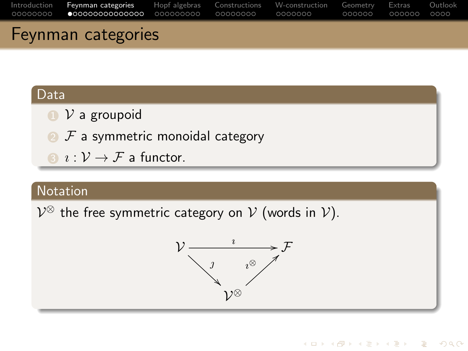<span id="page-10-0"></span>

| Feynman categories |  |  |  |
|--------------------|--|--|--|

### Data

- $\bigcirc$   $\mathcal{V}$  a groupoid
- $\bullet$   $\mathcal F$  a symmetric monoidal category
- $\mathbf{3} \cdot \mathbf{i} \cdot \mathbf{j} \cdot \mathbf{k}$  a functor.

### Notation

 $\mathcal{V}^{\otimes}$  the free symmetric category on  $\mathcal{V}$  (words in  $\mathcal{V}$ ).

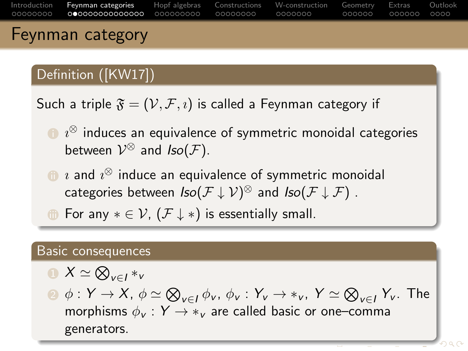| Introduction Fevnman categories Hopf algebras Constructions W-construction Geometry Extras Outlook |  |  |  |
|----------------------------------------------------------------------------------------------------|--|--|--|

### Definition ([\[KW17\]](#page-66-0))

Such a triple  $\mathfrak{F} = (\mathcal{V}, \mathcal{F}, \mathfrak{v})$  is called a Feynman category if

- $\bullet \:\iota^\otimes$  induces an equivalence of symmetric monoidal categories between  $\mathcal{V}^{\otimes}$  and  $Iso(\mathcal{F})$ .
- $\textcolor{black}{\blacksquare}$   $\imath$  and  $\imath^\otimes$  induce an equivalence of symmetric monoidal categories between  $Iso(\mathcal{F} \downarrow \mathcal{V})^{\otimes}$  and  $Iso(\mathcal{F} \downarrow \mathcal{F})$  .
- **i** For any  $* \in \mathcal{V}$ ,  $(\mathcal{F} \downarrow *)$  is essentially small.

#### Basic consequences

$$
\blacksquare X \simeq \bigotimes_{v \in I} *_{v}
$$

 $\circledast:Y\to X$ ,  $\phi\simeq\bigotimes_{\nu\in I}\phi_\nu$ ,  $\phi_\nu:Y_\nu\to *_\nu$ ,  $Y\simeq\bigotimes_{\nu\in I}Y_\nu$ . The morphisms  $\phi_v : Y \to *_{v}$  are called basic or one–comma generators.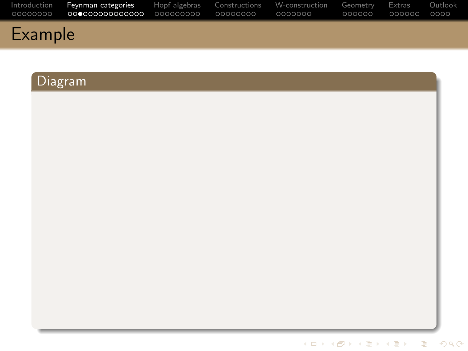|         | Introduction Fevnmancategories Hopf algebras Constructions W-construction Geometry Extras Outlook |  | .000000 .000000 | - OOOO |
|---------|---------------------------------------------------------------------------------------------------|--|-----------------|--------|
| Example |                                                                                                   |  |                 |        |

### Diagram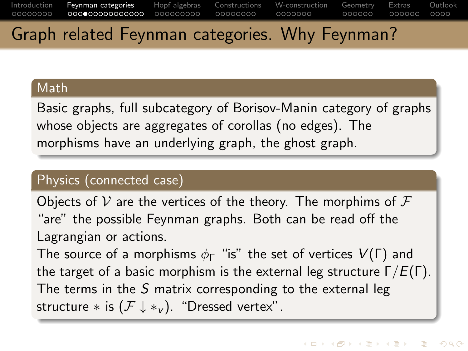### Graph related Feynman categories. Why Feynman?

#### Math

Basic graphs, full subcategory of Borisov-Manin category of graphs whose objects are aggregates of corollas (no edges). The morphisms have an underlying graph, the ghost graph.

### Physics (connected case)

Objects of V are the vertices of the theory. The morphims of  $\mathcal F$ "are" the possible Feynman graphs. Both can be read off the Lagrangian or actions.

The source of a morphisms  $\phi_{\Gamma}$  "is" the set of vertices  $V(\Gamma)$  and the target of a basic morphism is the external leg structure  $\Gamma/E(\Gamma)$ . The terms in the S matrix corresponding to the external leg structure  $*$  is  $(\mathcal{F} \downarrow *_{v})$ . "Dressed vertex".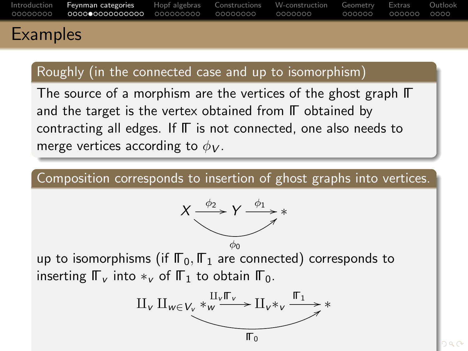|                 | Introduction Fevnman categories Hopf algebras Constructions W-construction Geometry Extras Outlook |  | naadaa aadaaa aada |  |
|-----------------|----------------------------------------------------------------------------------------------------|--|--------------------|--|
| <b>Examples</b> |                                                                                                    |  |                    |  |

### Roughly (in the connected case and up to isomorphism)

The source of a morphism are the vertices of the ghost graph ΓΓ and the target is the vertex obtained from ΓΓ obtained by contracting all edges. If ΓΓ is not connected, one also needs to merge vertices according to  $\phi_V$ .

Composition corresponds to insertion of ghost graphs into vertices.



up to isomorphisms (if  $\mathbb{F}_0$ ,  $\mathbb{F}_1$  are connected) corresponds to inserting  $\mathbb{F}_{\nu}$  into  $*_v$  of  $\mathbb{F}_{1}$  to obtain  $\mathbb{F}_{0}$ .

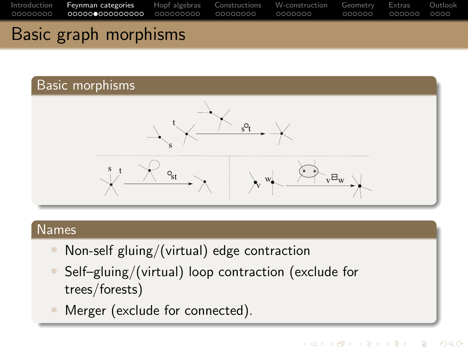

### Basic morphisms



#### Names

- Non-self gluing/(virtual) edge contraction
- Self–gluing/(virtual) loop contraction (exclude for trees/forests)
- Merger (exclude for connected).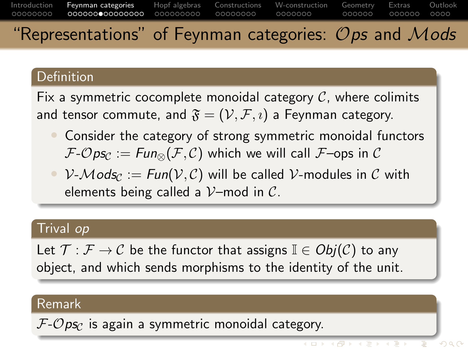#### [Introduction](#page-2-0) [Feynman categories](#page-10-0) [Hopf algebras](#page-25-0) [Constructions](#page-34-0) [W-construction](#page-42-0) [Geometry](#page-49-0) [Extras](#page-55-0) [Outlook](#page-61-0) 00000000 00000000 0000000  $000000$  $0000$ "Representations" of Feynman categories:  $\mathcal O$ ps and  $\mathcal M$ ods

### **Definition**

Fix a symmetric cocomplete monoidal category  $C$ , where colimits and tensor commute, and  $\mathfrak{F} = (\mathcal{V}, \mathcal{F}, i)$  a Feynman category.

- Consider the category of strong symmetric monoidal functors  $\mathcal{F}\text{-} \mathcal{O} ps_{\mathcal{C}} := \text{Fun}_{\otimes}(\mathcal{F}, \mathcal{C})$  which we will call  $\mathcal{F}\text{-}ops$  in  $\mathcal{C}$
- $V-Mods<sub>C</sub> := Fun(V, C)$  will be called V-modules in C with elements being called a  $\mathcal{V}$ -mod in  $\mathcal{C}$ .

### Trival op

Let  $\mathcal{T}: \mathcal{F} \to \mathcal{C}$  be the functor that assigns  $\mathbb{I} \in Obj(\mathcal{C})$  to any object, and which sends morphisms to the identity of the unit.

#### Remark

 $F\text{-}Ops_C$  is again a symmetric monoidal category.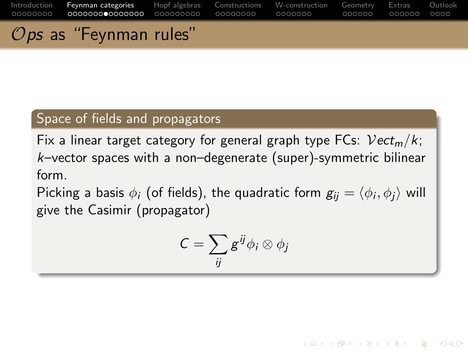[Introduction](#page-2-0) [Feynman categories](#page-10-0) [Hopf algebras](#page-25-0) [Constructions](#page-34-0) [W-construction](#page-42-0) [Geometry](#page-49-0) [Extras](#page-55-0) [Outlook](#page-61-0) Ops as "Feynman rules"

#### Space of fields and propagators

Fix a linear target category for general graph type FCs:  $Vect_m/k$ ; k–vector spaces with a non–degenerate (super)-symmetric bilinear form.

Picking a basis  $\phi_i$  (of fields), the quadratic form  $\textit{g}_{ij}=\langle \phi_i, \phi_j \rangle$  will give the Casimir (propagator)

$$
C=\sum_{ij}g^{ij}\phi_i\otimes\phi_j
$$

**KOD KARD KED KED B YOUR**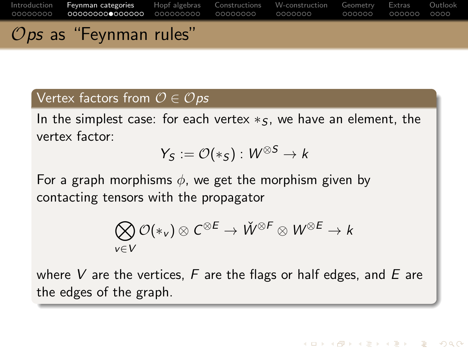[Introduction](#page-2-0) [Feynman categories](#page-10-0) [Hopf algebras](#page-25-0) [Constructions](#page-34-0) [W-construction](#page-42-0) [Geometry](#page-49-0) [Extras](#page-55-0) [Outlook](#page-61-0) 00000000  $000000$  $\mathcal{O}$ *ps* as "Feynman rules"

### Vertex factors from  $\mathcal{O} \in \mathcal{O}$  ps

In the simplest case: for each vertex  $*_5$ , we have an element, the vertex factor:

$$
Y_S := \mathcal{O}(*_S) : W^{\otimes S} \to k
$$

For a graph morphisms  $\phi$ , we get the morphism given by contacting tensors with the propagator

$$
\bigotimes_{v \in V} \mathcal{O}(*_v) \otimes C^{\otimes E} \to \check{W}^{\otimes F} \otimes W^{\otimes E} \to k
$$

where V are the vertices,  $F$  are the flags or half edges, and  $E$  are the edges of the graph.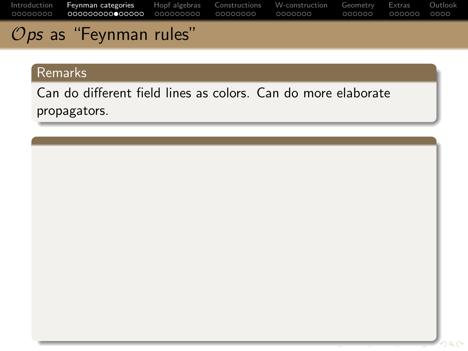[Introduction](#page-2-0) [Feynman categories](#page-10-0) [Hopf algebras](#page-25-0) [Constructions](#page-34-0) [W-construction](#page-42-0) [Geometry](#page-49-0) [Extras](#page-55-0) [Outlook](#page-61-0)  $\mathcal{O}$ ps as "Feynman rules"

#### Remarks

Can do different field lines as colors. Can do more elaborate propagators.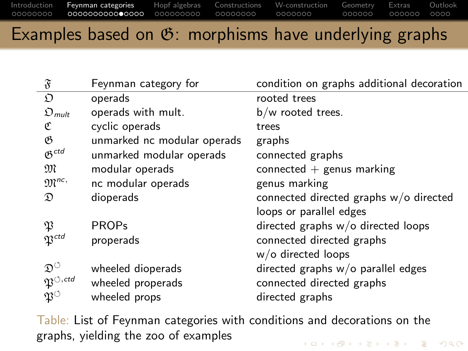### Examples based on  $\mathfrak{G}$ : morphisms have underlying graphs

| $\mathfrak{F}$                        | Feynman category for        | condition on graphs additional decoration |
|---------------------------------------|-----------------------------|-------------------------------------------|
| D                                     | operads                     | rooted trees                              |
| $\mathfrak{O}_{mult}$                 | operads with mult.          | $b/w$ rooted trees.                       |
| ¢                                     | cyclic operads              | trees                                     |
| B                                     | unmarked nc modular operads | graphs                                    |
| $05$ <sup>ctd</sup>                   | unmarked modular operads    | connected graphs                          |
| M                                     | modular operads             | connected $+$ genus marking               |
| $\mathfrak{M}^{nc}$                   | nc modular operads          | genus marking                             |
| $\mathfrak{D}$                        | dioperads                   | connected directed graphs w/o directed    |
|                                       |                             | loops or parallel edges                   |
| P                                     | <b>PROPs</b>                | directed graphs $w/o$ directed loops      |
| $\mathfrak{P}^{ctd}$                  | properads                   | connected directed graphs                 |
|                                       |                             | w/o directed loops                        |
| $\mathfrak{D}^{\circlearrowleft}$     | wheeled dioperads           | directed graphs w/o parallel edges        |
| $\mathfrak{P}^{\circlearrowleft,ctd}$ | wheeled properads           | connected directed graphs                 |
| $\mathfrak{P}^\circ$                  | wheeled props               | directed graphs                           |
|                                       |                             |                                           |

Table: List of Feynman categories with conditions and decorations on the graphs, yielding the zoo of examples**KOD KAR KED KED BOAR**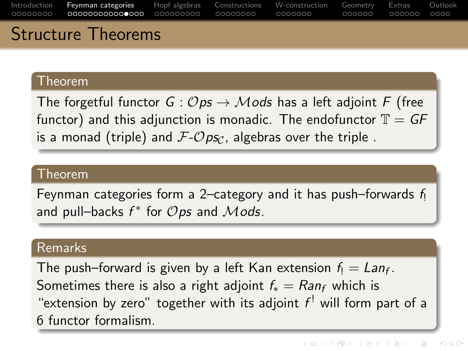[Introduction](#page-2-0) [Feynman categories](#page-10-0) [Hopf algebras](#page-25-0) [Constructions](#page-34-0) [W-construction](#page-42-0) [Geometry](#page-49-0) [Extras](#page-55-0) [Outlook](#page-61-0) 00000000 0000000  $000000$ Structure Theorems

#### Theorem

The forgetful functor  $G: \mathcal{O}ps \to \mathcal{M}$ ods has a left adjoint F (free functor) and this adjunction is monadic. The endofunctor  $\mathbb{T} = GF$ is a monad (triple) and  $\mathcal{F}\text{-} \mathcal{O}$  ps<sub>C</sub>, algebras over the triple.

#### Theorem

Feynman categories form a 2–category and it has push–forwards  $f_1$ and pull–backs  $f^*$  for  $\mathcal{O} ps$  and  $\mathcal{M} o ds$ .

#### Remarks

The push–forward is given by a left Kan extension  $f_! = Lan_f$ . Sometimes there is also a right adjoint  $f_* = Ran_f$  which is "extension by zero" together with its adjoint  $f^!$  will form part of a 6 functor formalism.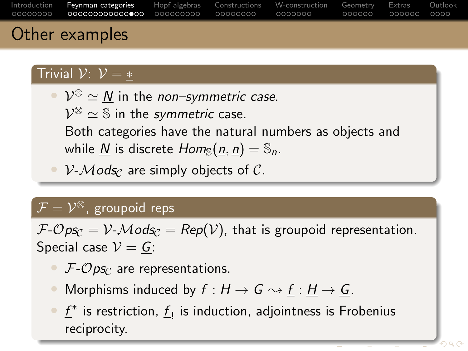<span id="page-22-0"></span>

| Introduction Feynman categories Hopf algebras Constructions W-construction Geometry Extras Outlook | Othor gromples |  |  |  |
|----------------------------------------------------------------------------------------------------|----------------|--|--|--|
|                                                                                                    |                |  |  |  |

### Other examples

### Trivial  $\mathcal{V}: \mathcal{V} = *$

•  $\mathcal{V}^{\otimes} \simeq \underline{N}$  in the *non–symmetric case*.  $\mathcal{V}^{\otimes}\simeq\mathbb{S}$  in the symmetric case. Both categories have the natural numbers as objects and while N is discrete  $Hom_{\mathbb{S}}(n, n) = \mathbb{S}_n$ .

•  $V$ - $Mods_{\mathcal{C}}$  are simply objects of  $\mathcal{C}$ .

### $\overline{\mathcal{F}} = \mathcal{V}^{\otimes},$  groupoid reps

 $\mathcal{F}\text{-}\mathcal{O}$ ps<sub>C</sub> =  $\mathcal{V}\text{-}\mathcal{M}\text{ods}_\mathcal{C}$  = Rep(V), that is groupoid representation. Special case  $V = G$ :

- $\mathcal{F}\text{-}\mathcal{O}$  ps<sub>C</sub> are representations.
- Morphisms induced by  $f : H \to G \rightsquigarrow f : H \to G$ .
- $\underline{f}^*$  is restriction,  $\underline{f}_!$  is induction, adjointness is Frobenius reciprocity.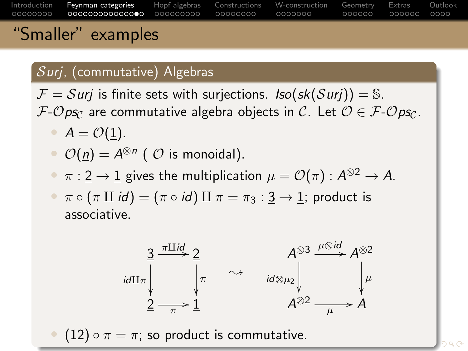[Introduction](#page-2-0) [Feynman categories](#page-10-0) [Hopf algebras](#page-25-0) [Constructions](#page-34-0) [W-construction](#page-42-0) [Geometry](#page-49-0) [Extras](#page-55-0) [Outlook](#page-61-0) 00000000 000000 "Smaller" examples

# Surj, (commutative) Algebras

 $\mathcal{F} = S$ urj is finite sets with surjections. Iso(sk(Surj)) = S.  $F\text{-}Ops_C$  are commutative algebra objects in C. Let  $\mathcal{O} \in \mathcal{F}\text{-}Ops_C$ .

- $A = \mathcal{O}(1)$ .
- $\mathcal{O}(\underline{n}) = A^{\otimes n}$  (  $\mathcal{O}$  is monoidal).
- $\bullet~~\pi:\underline{2}\to \underline{1}$  gives the multiplication  $\mu=\mathcal{O}(\pi):A^{\otimes 2}\to A.$
- $\pi \circ (\pi \amalg id) = (\pi \circ id) \amalg \pi = \pi_3 : 3 \to 1$ ; product is associative.



• (12)  $\circ \pi = \pi$ ; so product is commutativ[e.](#page-22-0)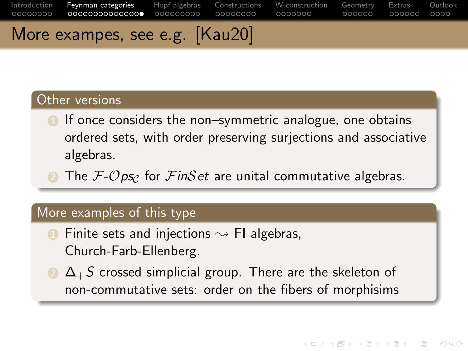### <span id="page-24-0"></span>More exampes, see e.g. [\[Kau20\]](#page-65-0)

### Other versions

- **1** If once considers the non–symmetric analogue, one obtains ordered sets, with order preserving surjections and associative algebras.
	- The  $\mathcal{F}\text{-}\mathcal{O}$  ps<sub>C</sub> for  $\mathcal{F}\text{in}\mathcal{S}\text{et}$  are unital commutative algebras.

#### More examples of this type

- Finite sets and injections  $\sim$  FI algebras, Church-Farb-Ellenberg.
- $\Omega$   $\Delta$ +S crossed simplicial group. There are the skeleton of non-commutative sets: order on the fibers of morphisims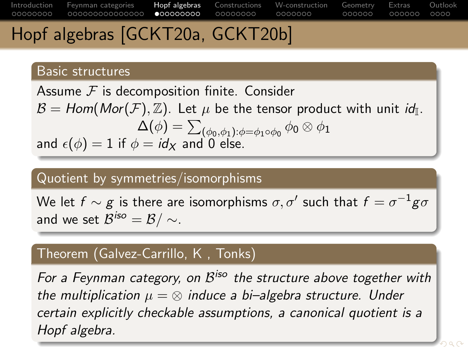### <span id="page-25-0"></span>Hopf algebras [\[GCKT20a,](#page-65-1) [GCKT20b\]](#page-65-2)

#### Basic structures

Assume  $F$  is decomposition finite. Consider  $\mathcal{B} = \mathcal{H}$ om $(\mathcal{M}or(\mathcal{F}), \mathbb{Z})$ . Let  $\mu$  be the tensor product with unit  $\mathit{id}_{\mathbb{I}}$ .  $\Delta(\phi)=\sum_{(\phi_0,\phi_1):\phi=\phi_1\circ\phi_0}\phi_0\otimes\phi_1$ and  $\epsilon(\phi) = 1$  if  $\phi = id_X$  and 0 else.

### Quotient by symmetries/isomorphisms

We let  $f\sim g$  is there are isomorphisms  $\sigma,\sigma'$  such that  $f=\sigma^{-1}g\sigma$ and we set  $\mathcal{B}^{\mathsf{iso}}=\mathcal{B}/\sim$  .

### Theorem (Galvez-Carrillo, K , Tonks)

For a Feynman category, on  $\mathcal{B}^{\mathsf{iso}}$  the structure above together with the multiplication  $\mu = \otimes$  induce a bi–algebra structure. Under certain explicitly checkable assumptions, a canonical quotient is a Hopf algebra.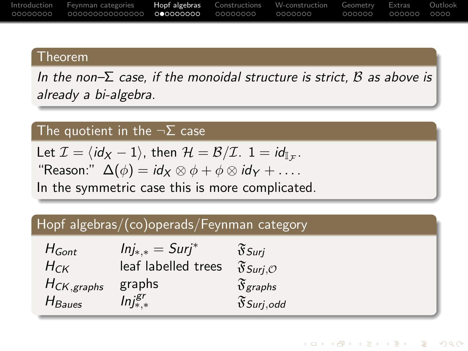<span id="page-26-0"></span>

|            | Introduction Feynman categories |  | <b>Hopf algebras</b> Constructions W-construction Geometry |          | Extras          | Outlook |
|------------|---------------------------------|--|------------------------------------------------------------|----------|-----------------|---------|
| . 00000000 |                                 |  | - 0000000                                                  | - 000000 | - 000000 - 0000 |         |

#### Theorem

In the non– $\Sigma$  case, if the monoidal structure is strict,  $\beta$  as above is already a bi-algebra.

### The quotient in the  $\neg \Sigma$  case

Let  $\mathcal{I} = \langle \mathit{id}_X - 1 \rangle$ , then  $\mathcal{H} = \mathcal{B}/\mathcal{I}$ .  $1 = \mathit{id}_{\mathbb{I}_{\mathcal{F}}}$ . "Reason:"  $\Delta(\phi) = id_X \otimes \phi + \phi \otimes id_Y + \ldots$ In the symmetric case this is more complicated.

### Hopf algebras/(co)operads/Feynman category

| $H_{Gont}$       | $Inj_{*,*} = Surj^*$ | $\mathfrak{F}_{\textit{Surj}}$     |
|------------------|----------------------|------------------------------------|
| $H_{CK}$         | leaf labelled trees  | $\mathfrak{F}$ Surj, $\mathcal{O}$ |
| $H_{CK, graphs}$ | graphs               | $\mathfrak{F}_{graphs}$            |
| $H_{Baues}$      | $Inj^{gr}_{*,*}$     | $\mathfrak{F}$ Surj,odd            |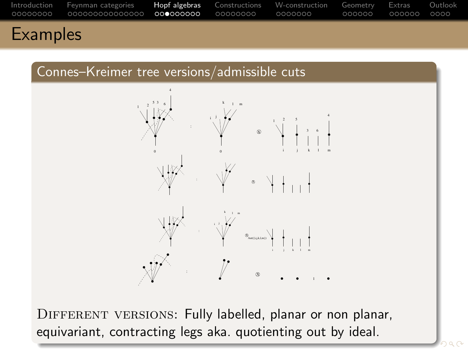<span id="page-27-0"></span>





DIFFERENT VERSIONS: Fully labelled, planar or non planar, equivariant, contracting legs aka. quotientin[g o](#page-26-0)[ut](#page-28-0) [b](#page-26-0)[y](#page-27-0) [i](#page-28-0)[de](#page-24-0)[a](#page-25-0)[l](#page-33-0)[.](#page-34-0)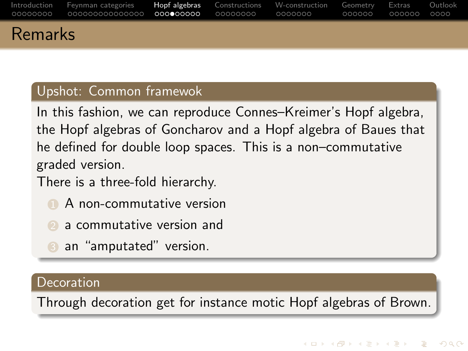<span id="page-28-0"></span>

|         | Introduction Feynman-categories <b>Hopf-algebras</b> Constructions W-construction Geometry Extras Outlook |  | 000000 | 000000 | 0000 |
|---------|-----------------------------------------------------------------------------------------------------------|--|--------|--------|------|
| Remarks |                                                                                                           |  |        |        |      |

#### Upshot: Common framewok

In this fashion, we can reproduce Connes–Kreimer's Hopf algebra, the Hopf algebras of Goncharov and a Hopf algebra of Baues that he defined for double loop spaces. This is a non–commutative graded version.

There is a three-fold hierarchy.

- **1** A non-commutative version
	- 2 a commutative version and
- **3** an "amputated" version.

#### **Decoration**

Through decoration get for instance motic Hopf algebras of Brown.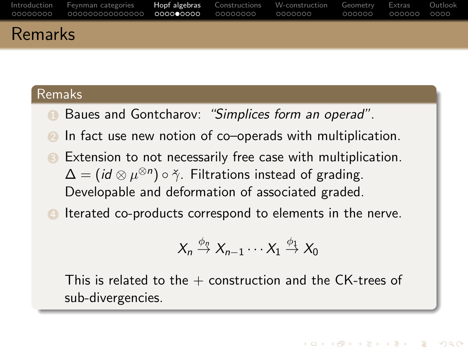|                | Introduction Feynman-categories Hopf-algebras Constructions W-construction Geometry Extras Outlook |  | -000000 - 000000 - 0000 |  |
|----------------|----------------------------------------------------------------------------------------------------|--|-------------------------|--|
| <b>Remarks</b> |                                                                                                    |  |                         |  |

#### Remaks

- Baues and Gontcharov: "Simplices form an operad".
- In fact use new notion of co–operads with multiplication.
- **3** Extension to not necessarily free case with multiplication.  $\Delta = (id \otimes \mu^{\otimes n}) \circ \check{\gamma}$ . Filtrations instead of grading. Developable and deformation of associated graded.
- **4** Iterated co-products correspond to elements in the nerve.

$$
X_n \stackrel{\phi_n}{\rightarrow} X_{n-1} \cdots X_1 \stackrel{\phi_1}{\rightarrow} X_0
$$

This is related to the  $+$  construction and the CK-trees of sub-divergencies.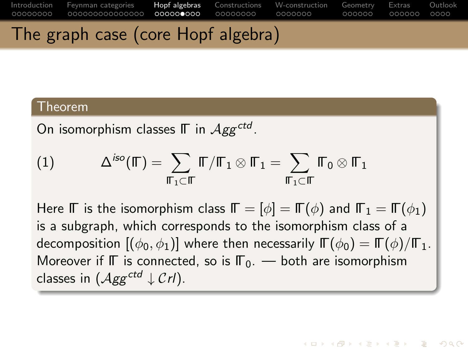### The graph case (core Hopf algebra)

#### Theorem

On isomorphism classes  $\mathbb \Gamma$  in  $\mathcal{A}gg^{ctd}$ .

$$
(1) \hspace{1cm} \Delta^{iso}(\mathbb{F})=\sum_{\mathbb{F}_{1}\subset \mathbb{F}} \mathbb{F}/\mathbb{F}_{1}\otimes \mathbb{F}_{1}=\sum_{\mathbb{F}_{1}\subset \mathbb{F}} \mathbb{F}_{0}\otimes \mathbb{F}_{1}
$$

Here ΓΓ is the isomorphism class  $\mathbb{F} = [\phi] = \mathbb{F}(\phi)$  and  $\mathbb{F}_1 = \mathbb{F}(\phi_1)$ is a subgraph, which corresponds to the isomorphism class of a decomposition  $[(\phi_0, \phi_1)]$  where then necessarily  $\mathbb{F}(\phi_0) = \mathbb{F}(\phi)/\mathbb{F}_1$ . Moreover if  $\mathbb F$  is connected, so is  $\mathbb F_0$ . — both are isomorphism classes in  $(Agg^{ctd} \downarrow Crl)$ .

**KOD KARD KED KED B YOUR**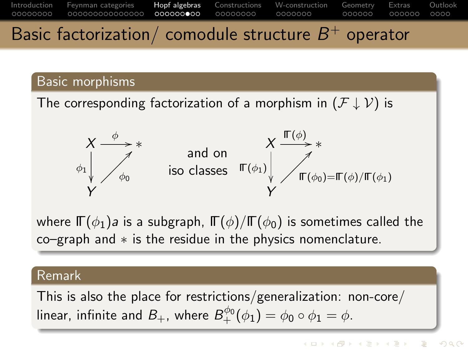# Basic factorization/ comodule structure  $B^+$  operator

[Introduction](#page-2-0) [Feynman categories](#page-10-0) [Hopf algebras](#page-25-0) [Constructions](#page-34-0) [W-construction](#page-42-0) [Geometry](#page-49-0) [Extras](#page-55-0) [Outlook](#page-61-0)

0000000

### Basic morphisms

00000000

The corresponding factorization of a morphism in  $(F \downarrow V)$  is



where  $\mathbb{\Gamma}(\phi_1)$ a is a subgraph,  $\mathbb{\Gamma}(\phi)/\mathbb{\Gamma}(\phi_0)$  is sometimes called the co–graph and ∗ is the residue in the physics nomenclature.

#### Remark

This is also the place for restrictions/generalization: non-core/ linear, infinite and  $B_+$ , where  $B^{\phi_0}_+(\phi_1)=\phi_0\circ\phi_1=\phi.$ 

 $000000$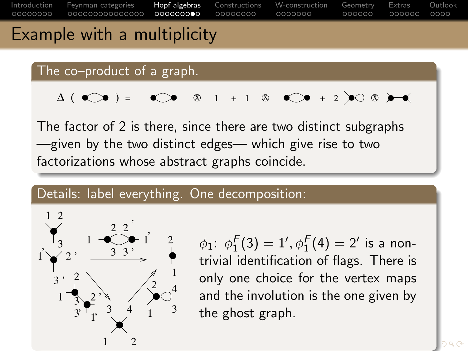

### Example with a multiplicity

The co–product of a graph.

$$
\Delta (\neg\bigcirc\bigcirc\bullet) = \neg\bigcirc\bigcirc\bullet\quad \otimes\quad 1\quad +\ 1\quad \otimes\quad \neg\bigcirc\bigcirc\bullet\ +\ 2\ \bigcirc\bigcirc\otimes\quad \bullet\!\!\!\rightarrow\bullet\!\!\!\!\bullet\;\neg\bullet\!\!\!\!\bullet\;\neg\bullet\!\!\!\!\bullet\;\neg\bullet\!\!\!\!\bullet\;\neg\bullet\!\!\!\!\bullet\;\neg\bullet\!\!\!\!\bullet\;\neg\bullet\!\!\!\!\bullet\;\neg\bullet\!\!\!\!\bullet\;\neg\bullet\!\!\!\!\bullet\;\neg\bullet\!\!\!\!\bullet\;\neg\bullet\!\!\!\!\bullet\;\neg\bullet\!\!\!\!\bullet\;\neg\bullet\!\!\!\!\bullet\;\neg\bullet\!\!\!\!\bullet\;\neg\bullet\!\!\!\!\bullet\;\neg\bullet\!\!\!\!\bullet\;\neg\bullet\!\!\!\!\bullet\;\neg\bullet\!\!\!\!\bullet\;\neg\bullet\!\!\!\!\bullet\;\neg\bullet\!\!\!\!\bullet\;\neg\bullet\!\!\!\!\bullet\;\neg\bullet\!\!\!\!\bullet\;\neg\bullet\!\!\!\!\bullet\;\neg\bullet\!\!\!\!\bullet\;\neg\bullet\!\!\!\!\bullet\;\neg\bullet\!\!\!\!\bullet\;\neg\bullet\!\!\!\!\bullet\;\neg\bullet\!\!\!\!\bullet\;\neg\bullet\!\!\!\!\bullet\;\neg\bullet\!\!\!\!\bullet\!\!\!\!\bullet\;\neg\bullet\!\!\!\!\bullet\;\neg\bullet\!\!\!\!\bullet\;\neg\bullet\!\!\!\!\bullet\;\neg\bullet\!\!\!\!\bullet\!\!\!\!\bullet\;\neg\bullet\!\!\!\!\bullet\!\!\!\!\bullet\!\!\!\!\bullet\;\neg\bullet\!\!\!\!\bullet\!\!\!\!\bullet\!\!\!\!\bullet\!\!\!\!\bullet\!\!\!\!\bullet\!\!\!\!\bullet\!\!\!\!\bullet\!\!\!\!\bullet\!\!\!\!\bullet\!\!\!\!\bullet\!\!\!\!\bullet\!\!\!\!\bullet\!\!\!\!\bullet\!\!\!\!\bullet\!\!\!\!\bullet\!\!\!\!\bullet\!\!\!\!\bullet\!\!\!\!\bullet\!\!\!\!\bullet\!\!\!\!\bullet\!\!\!\!\bullet\!\!\!\!\bullet\!\!\!\!\bullet\!\!\!\!\bullet\!\!\!\!\bullet\!\!\!\!\bullet\!\!\!\!\bullet\!\!\!\!\bullet\!\!\!\!\bullet\!\!\!\!\bullet\!\!\!\!\bullet\!\!\!\!\bullet\!\!\!\!\bullet\!\!\!\!\bullet\!\!\!\!\bullet\!\!\!\!\bullet\!\!\!\!\bullet\!\!\!\!\bullet\!\!\!\!\bullet\!\!\!\!\bullet\!\!\!\!\bullet\!\!\!\!\bullet\!\!\!\!\bullet\!\!\!\!\bullet\!\!\!\!\
$$

The factor of 2 is there, since there are two distinct subgraphs —given by the two distinct edges— which give rise to two factorizations whose abstract graphs coincide.

#### Details: label everything. One decomposition:



 $\phi_1\!\!: \ \phi_1^F(3)=1', \phi_1^F(4)=2'$  is a nontrivial identification of flags. There is only one choice for the vertex maps and the involution is the one given by the ghost graph.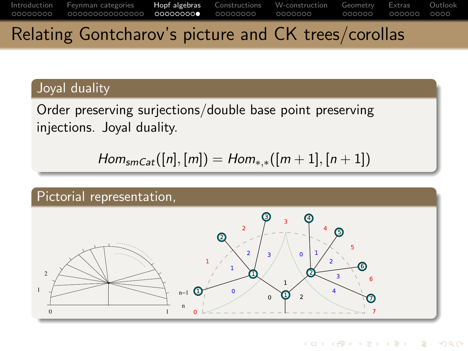### <span id="page-33-0"></span>Relating Gontcharov's picture and CK trees/corollas

### Joyal duality

Order preserving surjections/double base point preserving injections. Joyal duality.

 $Hom_{smCat}([n], [m]) = Hom_{**}([m+1], [n+1])$ 



イロト イ押 トイヨ トイヨ トー  $\equiv$  $QQ$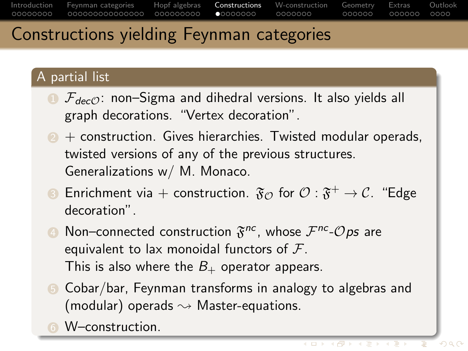### <span id="page-34-0"></span>Constructions yielding Feynman categories

### A partial list

- $\bullet$   $\mathcal{F}_{decO}$ : non–Sigma and dihedral versions. It also yields all graph decorations. "Vertex decoration".
- $2 +$  construction. Gives hierarchies. Twisted modular operads, twisted versions of any of the previous structures. Generalizations w/ M. Monaco.
- $\bullet$  Enrichment via  $+$  construction.  $\mathfrak{F}_{\mathcal{O}}$  for  $\mathcal{O}:\mathfrak{F}^+\rightarrow\mathcal{C}.$  "Edge decoration".
- $\bullet$  Non–connected construction  $\mathfrak{F}^{nc}$ , whose  $\mathcal{F}^{nc}\text{-}\mathcal{O}$ ps are equivalent to lax monoidal functors of  $\mathcal{F}$ . This is also where the  $B_+$  operator appears.
- 5 Cobar/bar, Feynman transforms in analogy to algebras and (modular) operads  $\rightsquigarrow$  Master-equations.
- **6** W–construction.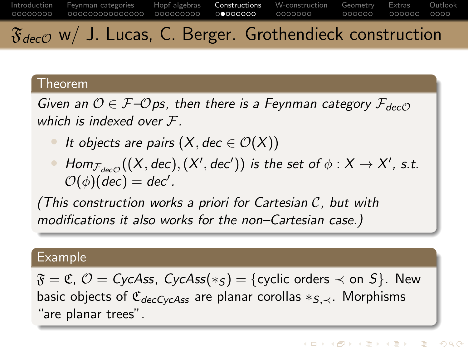<span id="page-35-0"></span>[Introduction](#page-2-0) [Feynman categories](#page-10-0) [Hopf algebras](#page-25-0) [Constructions](#page-34-0) [W-construction](#page-42-0) [Geometry](#page-49-0) [Extras](#page-55-0) [Outlook](#page-61-0) 00000000 000000000  $00000000$ 0000000 ooooo  $000000$  $0000$  $\mathfrak{F}_{decO}$  w/ J. Lucas, C. Berger. Grothendieck construction

#### Theorem

Given an  $\mathcal{O} \in \mathcal{F}$ - $\mathcal{O}$ ps, then there is a Feynman category  $\mathcal{F}_{dec\mathcal{O}}$ which is indexed over F.

- It objects are pairs  $(X, \text{dec} \in \mathcal{O}(X))$
- $\bullet$  Hom $_{\mathcal{F}_{dec\mathcal{O}}}((X,dec),(X',dec'))$  is the set of  $\phi:X\rightarrow X'$ , s.t.  $\mathcal{O}(\phi)(\mathsf{dec}) = \mathsf{dec}'.$

(This construction works a priori for Cartesian C, but with modifications it also works for the non–Cartesian case.)

#### Example

 $\mathfrak{F} = \mathfrak{C}, \mathcal{O} = \mathfrak{CycAss}, \mathfrak{CycAss}(*_S) = \{ \text{cyclic orders} \prec \text{on } S \}.$  New basic objects of  $\mathfrak{C}_{decCycAss}$  are planar corollas  $*_S\prec$ . Morphisms "are planar trees".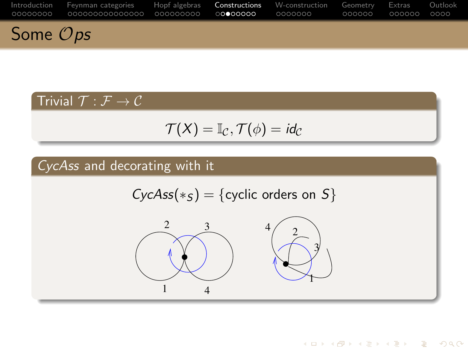|                      | Introduction Fevnman-categories Hopf-algebras Constructions W-construction Geometry Extras Outlook |  |  |  |
|----------------------|----------------------------------------------------------------------------------------------------|--|--|--|
| Some $\mathcal{O}ps$ |                                                                                                    |  |  |  |

### Trivial  $\mathcal{T} : \mathcal{F} \to \mathcal{C}$

$$
\mathcal{T}(X) = \mathbb{I}_{\mathcal{C}}, \mathcal{T}(\phi) = id_{\mathcal{C}}
$$

### CycAss and decorating with it

$$
CycAss(*_S) = \{cyclic orders on S\}
$$



K ロ ▶ K @ ▶ K 할 ▶ K 할 ▶ | 할 | © 9 Q @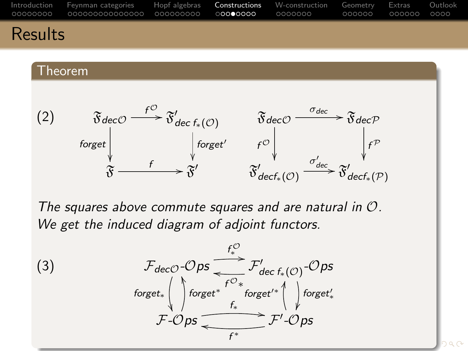

### Results

#### Theorem



The squares above commute squares and are natural in O. We get the induced diagram of adjoint functors.

(3) 
$$
\mathcal{F}_{decO}\text{-}Ops \xrightarrow{f_{\varphi}^{\mathcal{O}}} \mathcal{F}_{dec\ f_{*}(\mathcal{O})}^{\prime}\text{-}Ops
$$
\n
$$
\text{forget}_{*}^{\prime} \longrightarrow \text{forget}_{*}^{\prime} \text{forget}_{*}^{\prime} \longrightarrow \text{forget}_{*}^{\prime}
$$
\n
$$
\mathcal{F}\text{-}Ops \xrightarrow{f^{*}} \mathcal{F}'\text{-}Ops
$$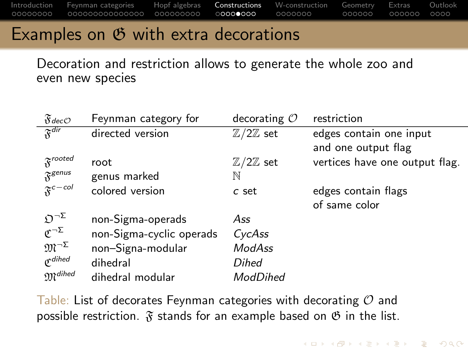### Examples on  $\mathfrak G$  with extra decorations

Decoration and restriction allows to generate the whole zoo and even new species

| $\mathfrak{F}$ dec $\mathcal{O}$       | Feynman category for     | decorating $O$               | restriction                    |
|----------------------------------------|--------------------------|------------------------------|--------------------------------|
| $\overline{\mathfrak{F}}^{\text{dir}}$ | directed version         | $\mathbb{Z}/2\mathbb{Z}$ set | edges contain one input        |
|                                        |                          |                              | and one output flag            |
| $\mathfrak{F}^{rooted}$                | root                     | $\mathbb{Z}/2\mathbb{Z}$ set | vertices have one output flag. |
| $\mathfrak{F}^{genus}$                 | genus marked             | N                            |                                |
| $\mathfrak{F}^{c-col}$                 | colored version          | c set                        | edges contain flags            |
|                                        |                          |                              | of same color                  |
| $\mathfrak{O}^{\neg \Sigma}$           | non-Sigma-operads        | Ass                          |                                |
| $\mathfrak{C}^{\neg\Sigma}$            | non-Sigma-cyclic operads | CycAss                       |                                |
| $\mathfrak{M}^{\neg\Sigma}$            | non-Signa-modular        | ModAss                       |                                |
| $\mathfrak{C}^{dihed}$                 | dihedral                 | Dihed                        |                                |
| $\mathfrak{M}^{dihed}$                 | dihedral modular         | ModDihed                     |                                |

**KOD KARD KED KED B YOUR** 

Table: List of decorates Feynman categories with decorating  $\mathcal O$  and possible restriction.  $\mathfrak F$  stands for an example based on  $\mathfrak G$  in the list.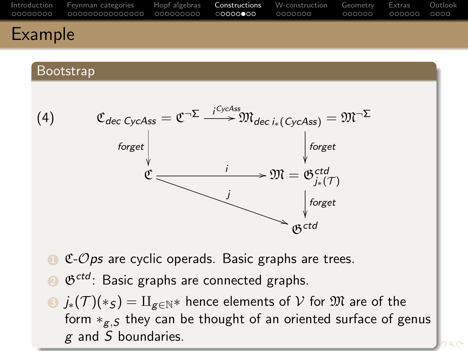<span id="page-39-0"></span>

| a Financia de la f |                                                                                                    |  |  |  |
|--------------------|----------------------------------------------------------------------------------------------------|--|--|--|
|                    | Introduction Feynman categories Hopf algebras Constructions W-construction Geometry Extras Outlook |  |  |  |

#### Bootstrap



- $C$ - $Ops$  are cyclic operads. Basic graphs are trees.
- $\mathfrak{G}^{ctd}$ : Basic graphs are connected graphs.
- **3**  $j_*(\mathcal{T})(*_S) = \amalg_{g \in \mathbb{N}^*}$  hence elements of  $\mathcal V$  for  $\mathfrak M$  are of the form  $*_{g,S}$  they can be thought of an oriented surface of genus g and S boundaries.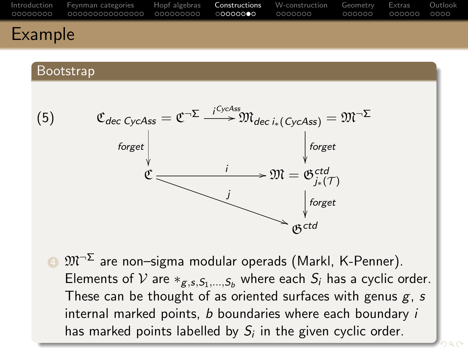<span id="page-40-0"></span>

| Introduction Feynman-categories Hopf-algebras Constructions W-construction Geometry Extras Outlook<br>©0000000 00000000000000 000000000 0 <b>00000●0</b> 0000000 000000 00000 0000 |  |  |  |
|------------------------------------------------------------------------------------------------------------------------------------------------------------------------------------|--|--|--|
|                                                                                                                                                                                    |  |  |  |

#### Bootstrap



 $\bullet$   $\mathfrak{M}^{\neg \Sigma}$  are non-sigma modular operads (Markl, K-Penner). Elements of V are  $*_{g,s,S_1,...,S_b}$  where each  $S_i$  has a cyclic order. These can be thought of as oriented surfaces with genus  $g$ , s internal marked points,  $b$  boundaries where each boundary  $i$ has marked po[i](#page-34-0)nts labelle[d](#page-33-0) by  $S_i$  in the [giv](#page-39-0)[en](#page-41-0) [cy](#page-40-0)[cl](#page-41-0)i[c](#page-35-0) [o](#page-41-0)[r](#page-42-0)d[e](#page-34-0)[r.](#page-41-0)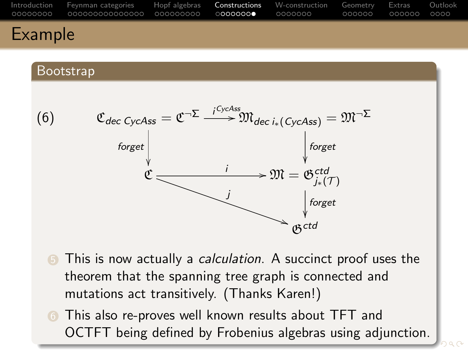<span id="page-41-0"></span>

| a Francisco de la c |                                                                                                    |  |  |  |
|---------------------|----------------------------------------------------------------------------------------------------|--|--|--|
|                     | Introduction Feynman-categories Hopf-algebras Constructions W-construction Geometry Extras Outlook |  |  |  |

#### Bootstrap



- **5** This is now actually a *calculation*. A succinct proof uses the theorem that the spanning tree graph is connected and mutations act transitively. (Thanks Karen!)
- **6** This also re-proves well known results about TFT and OCTFT being defined by Frobenius alg[ebr](#page-40-0)[as](#page-42-0) [u](#page-40-0)[si](#page-41-0)[n](#page-42-0)[g](#page-34-0) [a](#page-35-0)[d](#page-41-0)[j](#page-42-0)[u](#page-33-0)[n](#page-34-0)[c](#page-41-0)[ti](#page-42-0)[on](#page-0-0)[.](#page-66-1)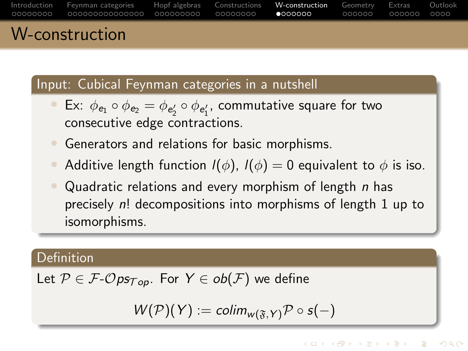<span id="page-42-0"></span>

| $M_{\rm constant}$                                                                                 |  |  |  |
|----------------------------------------------------------------------------------------------------|--|--|--|
| Introduction Feynman categories Hopf algebras Constructions W-construction Geometry Extras Outlook |  |  |  |

#### Input: Cubical Feynman categories in a nutshell

- Ex:  $\phi_{\mathbf{e}_1} \circ \phi_{\mathbf{e}_2} = \phi_{\mathbf{e}'_2} \circ \phi_{\mathbf{e}'_1}$ , commutative square for two consecutive edge contractions.
- Generators and relations for basic morphisms.
- Additive length function  $I(\phi)$ ,  $I(\phi) = 0$  equivalent to  $\phi$  is iso.
- Quadratic relations and every morphism of length  $n$  has precisely n! decompositions into morphisms of length 1 up to isomorphisms.

### Definition

SLIUCTION

Let 
$$
P \in \mathcal{F}\text{-}Ops_{Top}
$$
. For  $Y \in ob(\mathcal{F})$  we define

$$
W(\mathcal{P})(Y) := \mathit{colim}_{w(\mathfrak{F}, Y)} \mathcal{P} \circ s(-)
$$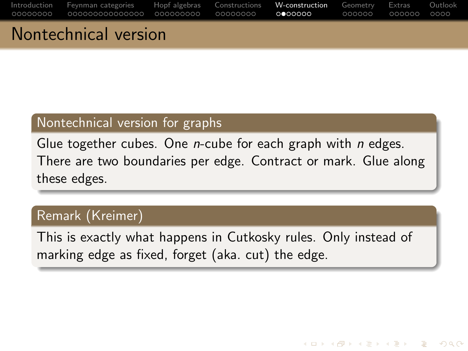| المتحدد وتحاجب المجالون والمتحدث والمالي |  |  |  |
|------------------------------------------|--|--|--|

### Nontechnical version

### Nontechnical version for graphs

Glue together cubes. One *n*-cube for each graph with *n* edges. There are two boundaries per edge. Contract or mark. Glue along these edges.

### Remark (Kreimer)

This is exactly what happens in Cutkosky rules. Only instead of marking edge as fixed, forget (aka. cut) the edge.

KED KAP KED KED E LOQO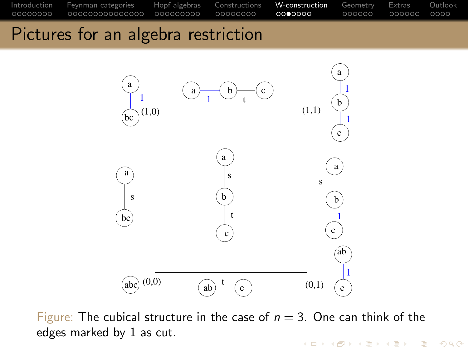Pictures for an algebra restriction



Figure: The cubical structure in the case of  $n = 3$ . One can think of the edges marked by 1 as cut.

**KOD KARD KED KED B YOUR**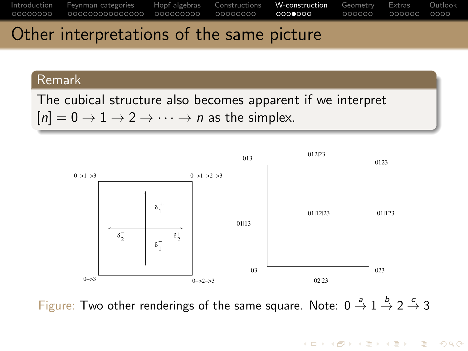

### Other interpretations of the same picture

#### Remark

The cubical structure also becomes apparent if we interpret  $[n] = 0 \rightarrow 1 \rightarrow 2 \rightarrow \cdots \rightarrow n$  as the simplex.



Figure: Two other renderings of the same square. Note:  $0 \stackrel{a}{\rightarrow} 1 \stackrel{b}{\rightarrow} 2 \stackrel{c}{\rightarrow} 3$ 

**KOD KARD KED KED B YOUR**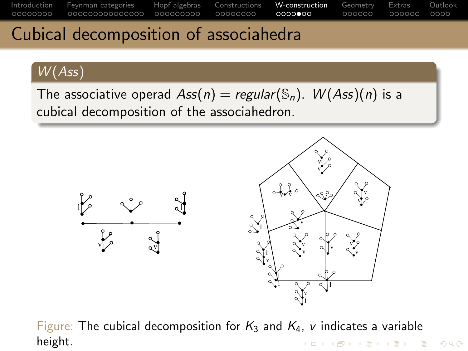### Cubical decomposition of associahedra

### W (Ass)

The associative operad  $Ass(n) = regular(\mathbb{S}_n)$ .  $W(Ass)(n)$  is a cubical decomposition of the associahedron.



Figure: The cubical decomposition for  $K_3$  and  $K_4$ , v indicates a variable height.K ロ ▶ K 리 ▶ K 로 ▶ K 로 ▶ - 로 - K 이익(N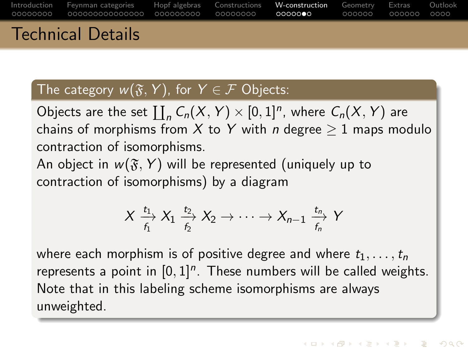| Introduction Fevnman-categories Hopf-algebras Constructions <b>W-construction</b> Geometry Extras Outlook |  |  |  |  |
|-----------------------------------------------------------------------------------------------------------|--|--|--|--|
| <b>Technical Details</b>                                                                                  |  |  |  |  |

### The category  $w(\mathfrak{F}, Y)$ , for  $Y \in \mathcal{F}$  Objects:

Objects are the set  $\coprod_n C_n(X, Y) \times [0, 1]^n$ , where  $C_n(X, Y)$  are chains of morphisms from X to Y with *n* degree  $> 1$  maps modulo contraction of isomorphisms.

An object in  $w(\mathfrak{F}, Y)$  will be represented (uniquely up to contraction of isomorphisms) by a diagram

$$
X \xrightarrow{t_1} X_1 \xrightarrow{t_2} X_2 \to \cdots \to X_{n-1} \xrightarrow{t_n} Y
$$

where each morphism is of positive degree and where  $t_1, \ldots, t_n$ represents a point in  $[0,1]^n$ . These numbers will be called weights. Note that in this labeling scheme isomorphisms are always unweighted.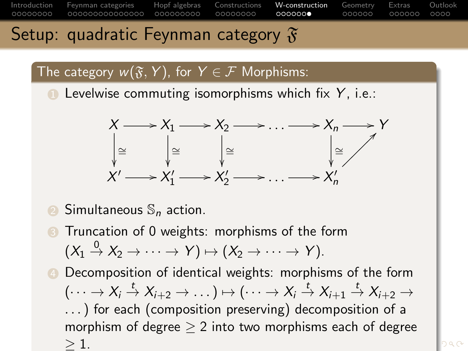### Setup: quadratic Feynman category  $\mathfrak{F}$

### The category  $w(\mathfrak{F}, Y)$ , for  $Y \in \mathcal{F}$  Morphisms:

**1** Levelwise commuting isomorphisms which fix  $Y$ , i.e.:



- Simultaneous  $\mathbb{S}_n$  action.
- Truncation of 0 weights: morphisms of the form  $(X_1 \stackrel{0}{\rightarrow} X_2 \rightarrow \cdots \rightarrow Y) \mapsto (X_2 \rightarrow \cdots \rightarrow Y).$
- **4** Decomposition of identical weights: morphisms of the form  $(\cdots \rightarrow X_i \stackrel{t}{\rightarrow} X_{i+2} \rightarrow \dots) \mapsto (\cdots \rightarrow X_i \stackrel{t}{\rightarrow} X_{i+1} \stackrel{t}{\rightarrow} X_{i+2} \rightarrow$ . . .) for each (composition preserving) decomposition of a morphism of degree  $> 2$  into two morphisms each of degree  $\geq 1$ .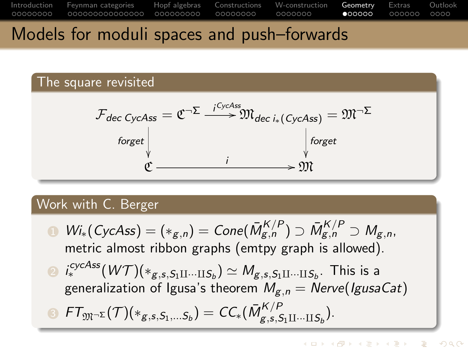<span id="page-49-0"></span>

### Models for moduli spaces and push–forwards

The square revisited

$$
\mathcal{F}_{dec\ CycAss} = \mathfrak{C}^{-\Sigma} \xrightarrow{i \ CycAss} \mathfrak{M}_{dec\ i_*\left(\ CycAss\right)} = \mathfrak{M}^{-\Sigma}
$$
\n
$$
\downarrow^{\text{forget}}
$$
\n
$$
\mathfrak{C} \xrightarrow{i} \mathfrak{M}
$$

#### Work with C. Berger

**1**  $Wi_* (CycAss) = (*_{g,n}) = Cone(\bar{M}^{K/P}_{g,n}) \supset \bar{M}^{K/P}_{g,n} \supset M_{g,n},$ metric almost ribbon graphs (emtpy graph is allowed). ⊇ i $_s^{cycAss}(W\mathcal{T})(*_{g,s,S_1\amalg\dots\amalg S_b}) \simeq \mathcal{M}_{g,s,S_1\amalg\dots\amalg S_b}.$  This is a generalization of Igusa's theorem  $M_{g,n} =$  Nerve(IgusaCat)  $\bm{\delta}$   $\bm{\mathsf{FT}}_{\mathfrak{M} \neg \bm{\Sigma}}(\bm{\mathcal{T}})(*_{{\bm{g}},\bm{s},\bm{\mathcal{S}}_1,...\bm{\mathcal{S}}_b}) = \bm{\mathit{CC}}_*(\bar{M}^{\bm{\mathcal{K}}/P}_{\bm{g},\bm{s},\bm{\mathcal{S}}_b})$  $g_{,s,S_1\amalg\cdots\amalg S_b}^{N/F}$ ).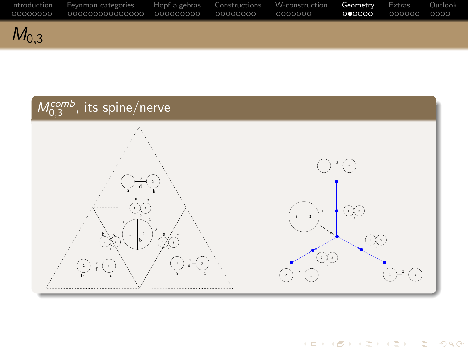| . 00000000 | Introduction Fevnman-categories Hopf-algebras Constructions W-construction <b>Geometry</b> Extras Outlook<br>000000000000000 000000000 00000000 |  | OOOOOOO | ററേററ | looqooq qoqo |  |
|------------|-------------------------------------------------------------------------------------------------------------------------------------------------|--|---------|-------|--------------|--|
| $M_{0.3}$  |                                                                                                                                                 |  |         |       |              |  |

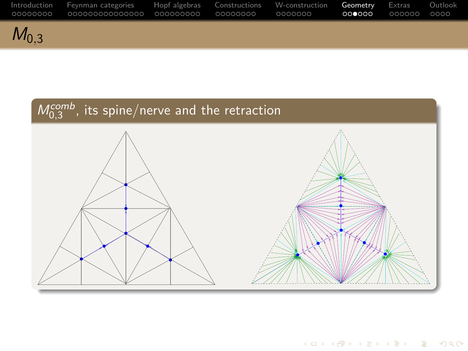

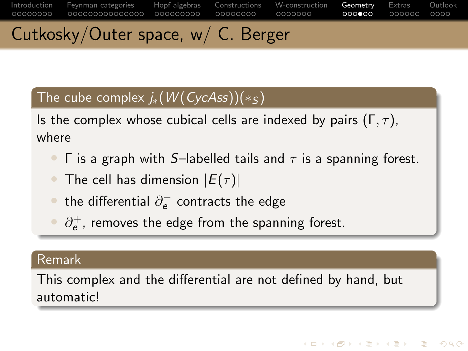[Introduction](#page-2-0) [Feynman categories](#page-10-0) [Hopf algebras](#page-25-0) [Constructions](#page-34-0) [W-construction](#page-42-0) [Geometry](#page-49-0) [Extras](#page-55-0) [Outlook](#page-61-0) 00000000 0000000  $000000$ Cutkosky/Outer space, w/ C. Berger

### The cube complex  $j_*(W(CycAss))(*_S)$

Is the complex whose cubical cells are indexed by pairs ( $\Gamma$ ,  $\tau$ ), where

- **Γ** is a graph with S–labelled tails and  $\tau$  is a spanning forest.
- The cell has dimension  $|E(\tau)|$
- $\bullet\,$  the differential  $\partial^-_e$  contracts the edge
- $\bullet$   $\partial_{e}^{+}$ , removes the edge from the spanning forest.

#### Remark

This complex and the differential are not defined by hand, but automatic!

**KOD KAD KED KED E VOOR**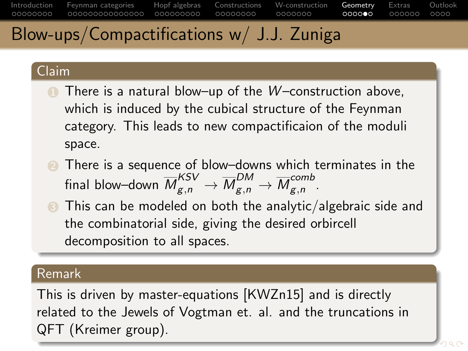### Blow-ups/Compactifications w/ J.J. Zuniga

#### Claim

- $\bullet$  There is a natural blow–up of the W–construction above, which is induced by the cubical structure of the Feynman category. This leads to new compactificaion of the moduli space.
- 2 There is a sequence of blow–downs which terminates in the final blow–down  $\overline{M}^{KSV}_{g,n} \to \overline{M}^{DM}_{g,n} \to \overline{M}^{comb}_{g,n}$  $g,n$
- **3** This can be modeled on both the analytic/algebraic side and the combinatorial side, giving the desired orbircell decomposition to all spaces.

#### Remark

This is driven by master-equations [\[KWZn15\]](#page-66-2) and is directly related to the Jewels of Vogtman et. al. and the truncations in QFT (Kreimer group).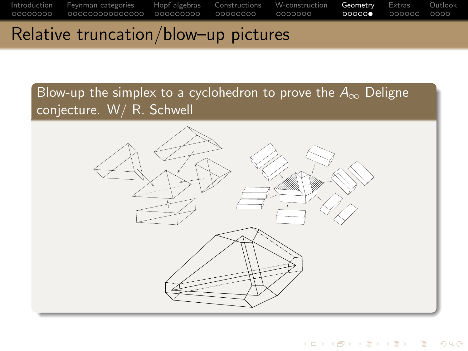### Relative truncation/blow–up pictures

Blow-up the simplex to a cyclohedron to prove the  $A_{\infty}$  Deligne conjecture. W/ R. Schwell



**KOD KARD KED KED B YOUR**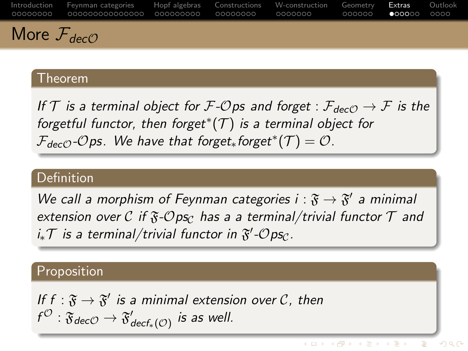<span id="page-55-0"></span>[Introduction](#page-2-0) [Feynman categories](#page-10-0) [Hopf algebras](#page-25-0) [Constructions](#page-34-0) [W-construction](#page-42-0) [Geometry](#page-49-0) [Extras](#page-55-0) [Outlook](#page-61-0) 00000000 0000000  $000000$ More  $\mathcal{F}_{dec}$ 

#### Theorem

If T is a terminal object for F-Ops and forget :  $\mathcal{F}_{decO} \to \mathcal{F}$  is the forgetful functor, then forget $^{*}(T)$  is a terminal object for  $\mathcal{F}_{dec\mathcal{O}}$ - $\mathcal{O}$ ps. We have that forget $_{*}$ forget $^{*}(\mathcal{T}) = \mathcal{O}$ .

#### Definition

We call a morphism of Feynman categories  $i : \mathfrak{F} \to \mathfrak{F}'$  a minimal extension over C if  $\mathfrak{F}\text{-} \mathcal{O}$  ps<sub>C</sub> has a a terminal/trivial functor  $\mathcal T$  and  $i_*\mathcal{T}$  is a terminal/trivial functor in  $\mathfrak{F}'\text{-}\mathcal{O}$ ps $_{\mathcal{C}}$ .

#### Proposition

If  $f : \mathfrak{F} \to \mathfrak{F}'$  is a minimal extension over  $\mathcal{C}$ , then  $f^{\mathcal{O}}: \mathfrak{F}_{dec\mathcal{O}} \to \mathfrak{F}_{dec\mathit{f}_*(\mathcal{O})}'$  is as well.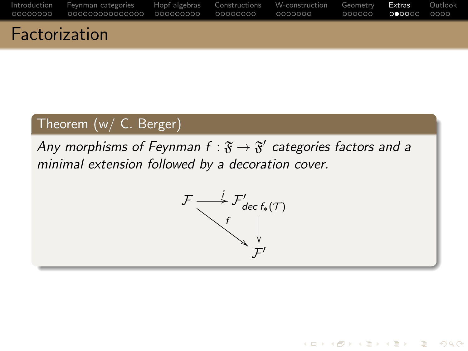| . Es absolucionis e |                                                                                                    |  |  |  |
|---------------------|----------------------------------------------------------------------------------------------------|--|--|--|
|                     |                                                                                                    |  |  |  |
|                     | Introduction Feynman categories Hopf algebras Constructions W-construction Geometry Extras Outlook |  |  |  |

### Factorization

### Theorem (w/ C. Berger)

Any morphisms of Feynman  $f: \mathfrak{F} \rightarrow \mathfrak{F}'$  categories factors and a minimal extension followed by a decoration cover.



KED KAP KED KED E LOQO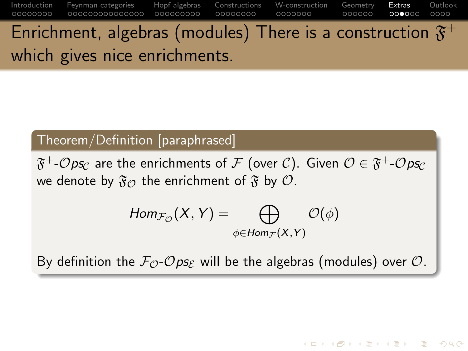[Introduction](#page-2-0) [Feynman categories](#page-10-0) [Hopf algebras](#page-25-0) [Constructions](#page-34-0) [W-construction](#page-42-0) [Geometry](#page-49-0) [Extras](#page-55-0) [Outlook](#page-61-0) 00000000 00000000 0000000  $000000$ Enrichment, algebras (modules) There is a construction  $\mathfrak{F}^{+}$ which gives nice enrichments.

### Theorem/Definition [paraphrased]

 $\mathfrak{F}^+$ - $\mathcal{O}$ ps $_{\mathcal{C}}$  are the enrichments of  $\mathcal{F}$  (over  $\mathcal{C}$ ). Given  $\mathcal{O}\in\mathfrak{F}^+$ - $\mathcal{O}$ ps $_{\mathcal{C}}$ we denote by  $\mathfrak{F}_{\mathcal{O}}$  the enrichment of  $\mathfrak{F}$  by  $\mathcal{O}$ .

$$
Hom_{\mathcal{F}_{\mathcal{O}}}(X,Y)=\bigoplus_{\phi\in Hom_{\mathcal{F}}(X,Y)}\mathcal{O}(\phi)
$$

By definition the  $\mathcal{F}_{\mathcal{O}}$ - $\mathcal{O}$ ps<sub>E</sub> will be the algebras (modules) over  $\mathcal{O}$ .

KED KAP KED KED E LOQO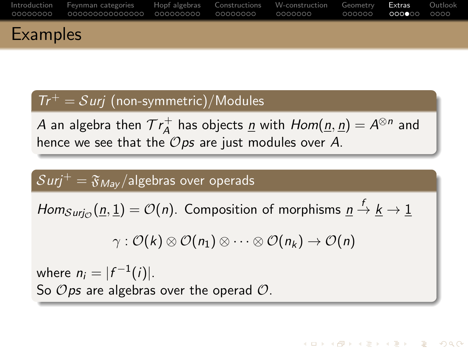|                 | Introduction Fevnman-categories Hopf-algebras Constructions W-construction Geometry Extras Outlook |  |  |  |
|-----------------|----------------------------------------------------------------------------------------------------|--|--|--|
| <b>Examples</b> |                                                                                                    |  |  |  |

### $Tr^{+} = Suri$  (non-symmetric)/Modules

 $A$  an algebra then  $\mathcal{T}r_A^+$  $A^+_A$  has objects <u>n</u> with  $Hom(\underline{n}, \underline{n}) = A^{\otimes n}$  and hence we see that the  $\mathcal{O}$ ps are just modules over A.

### $Surj^+=\mathfrak{F}_{Max}/\text{algebras over operads}$

 $Hom_{Surj_{\mathcal{O}}}( \underline{n}, \underline{1}) = \mathcal{O}(n).$  Composition of morphisms  $\underline{n} \stackrel{f}{\to} \underline{k} \to \underline{1}$ 

$$
\gamma: \mathcal{O}(k)\otimes \mathcal{O}(n_1)\otimes \cdots \otimes \mathcal{O}(n_k) \rightarrow \mathcal{O}(n)
$$

**KORK STRAIN STRAIN** 

where  $n_i = |f^{-1}(i)|$ . So  $\mathcal{O}$ *ps* are algebras over the operad  $\mathcal{O}$ .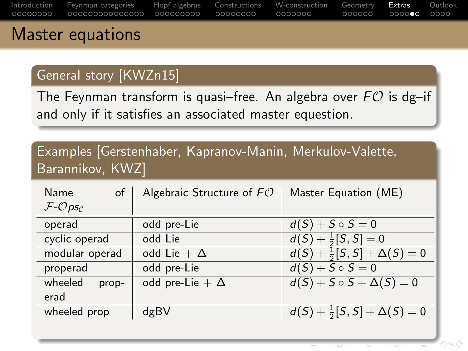<span id="page-59-0"></span>

| . |                                                                                                    |  |  |  |
|---|----------------------------------------------------------------------------------------------------|--|--|--|
|   | Introduction Feynman-categories Hopf-algebras Constructions W-construction Geometry Extras Outlook |  |  |  |

### Master equations

### General story [\[KWZn15\]](#page-66-2)

The Feynman transform is quasi-free. An algebra over  $FO$  is dg-if and only if it satisfies an associated master equestion.

### Examples [Gerstenhaber, Kapranov-Manin, Merkulov-Valette, Barannikov, KWZ]

| Name<br>$of \parallel$ | Algebraic Structure of $FO$ | Master Equation (ME)                       |
|------------------------|-----------------------------|--------------------------------------------|
| $F$ - $Op$ s $c$       |                             |                                            |
| operad                 | odd pre-Lie                 | $d(S) + S \circ S = 0$                     |
| cyclic operad          | odd Lie                     | $d(S) + \frac{1}{2}[S, S] = 0$             |
| modular operad         | odd Lie + $\Delta$          | $d(S) + \frac{1}{2}[S, S] + \Delta(S) = 0$ |
| properad               | odd pre-Lie                 | $d(S) + S \circ S = 0$                     |
| wheeled<br>prop-       | odd pre-Lie + $\Delta$      | $d(S) + S \circ S + \Delta(S) = 0$         |
| erad                   |                             |                                            |
| wheeled prop           | dgBV                        | $d(S) + \frac{1}{2}[S, S] + \Delta(S) = 0$ |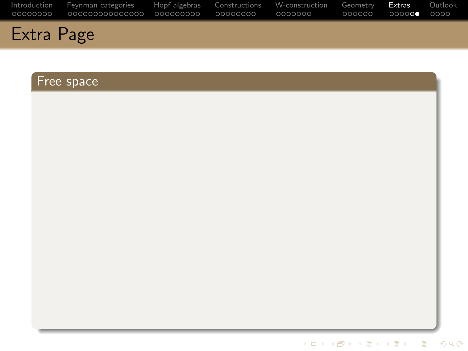|            | Introduction Feynman categories Hopf algebras Constructions W-construction Geometry Extras Outlook |  |  |  |
|------------|----------------------------------------------------------------------------------------------------|--|--|--|
| Extra Page |                                                                                                    |  |  |  |

### Free space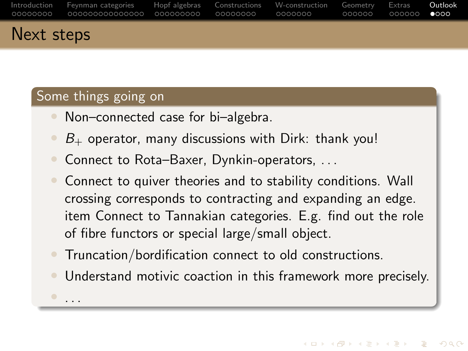<span id="page-61-0"></span>

| Next steps |                                                                                                    |  |                         |  |
|------------|----------------------------------------------------------------------------------------------------|--|-------------------------|--|
|            | Introduction Fevnman-categories Hopf-algebras Constructions W-construction Geometry Extras Outlook |  | -000000 - 000000 - ●000 |  |

### Some things going on

• . . .

- Non-connected case for bi-algebra.
- $B_{+}$  operator, many discussions with Dirk: thank you!
- Connect to Rota–Baxer, Dynkin-operators, ...
- Connect to quiver theories and to stability conditions. Wall crossing corresponds to contracting and expanding an edge. item Connect to Tannakian categories. E.g. find out the role of fibre functors or special large/small object.
- Truncation/bordification connect to old constructions.
- Understand motivic coaction in this framework more precisely.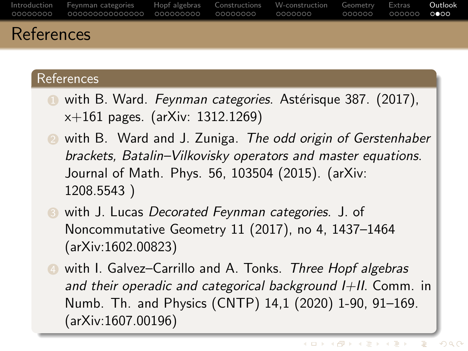|            | Introduction Fevnman-categories Hopf-algebras Constructions W-construction Geometry Extras Outlook |  | -000000 - 000000 - 0000 |  |
|------------|----------------------------------------------------------------------------------------------------|--|-------------------------|--|
| References |                                                                                                    |  |                         |  |

#### **References**

- **1** with B. Ward. Feynman categories. Astérisque 387. (2017), x+161 pages. (arXiv: 1312.1269)
- **2** with B. Ward and J. Zuniga. The odd origin of Gerstenhaber brackets, Batalin–Vilkovisky operators and master equations. Journal of Math. Phys. 56, 103504 (2015). (arXiv: 1208.5543 )
- **3** with J. Lucas Decorated Feynman categories. J. of Noncommutative Geometry 11 (2017), no 4, 1437–1464 (arXiv:1602.00823)
- **4** with I. Galvez-Carrillo and A. Tonks. Three Hopf algebras and their operadic and categorical background  $I+II$ . Comm. in Numb. Th. and Physics (CNTP) 14,1 (2020) 1-90, 91–169. (arXiv:1607.00196)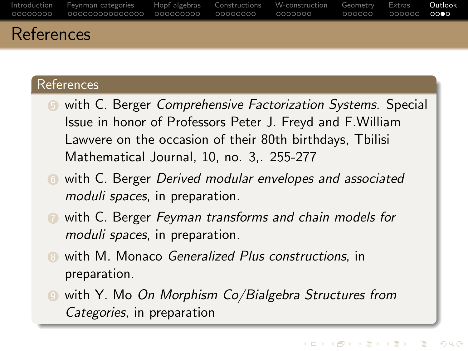|            | Introduction Fevnman-categories – Hopf-algebras Constructions W-construction Geometry Extras – Outlook |  | 000000 000000 <b>0000</b> |  |
|------------|--------------------------------------------------------------------------------------------------------|--|---------------------------|--|
| References |                                                                                                        |  |                           |  |

### **References**

- **5** with C. Berger Comprehensive Factorization Systems. Special Issue in honor of Professors Peter J. Freyd and F.William Lawvere on the occasion of their 80th birthdays, Tbilisi Mathematical Journal, 10, no. 3,. 255-277
- **6** with C. Berger *Derived modular envelopes and associated* moduli spaces, in preparation.
- **1** with C. Berger Feyman transforms and chain models for moduli spaces, in preparation.
- with M. Monaco Generalized Plus constructions, in preparation.
- 9 with Y. Mo On Morphism Co/Bialgebra Structures from Categories, in preparation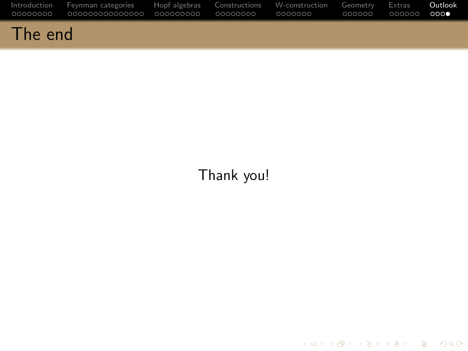|         | Introduction Fevnman categories Hopf algebras Constructions W-construction Geometry Extras <b>Outlook</b> |  |  | െറ⊕ |
|---------|-----------------------------------------------------------------------------------------------------------|--|--|-----|
| The end |                                                                                                           |  |  |     |

### Thank you!

K ロ ▶ K @ ▶ K 할 ▶ K 할 ▶ - 할 → 9 Q @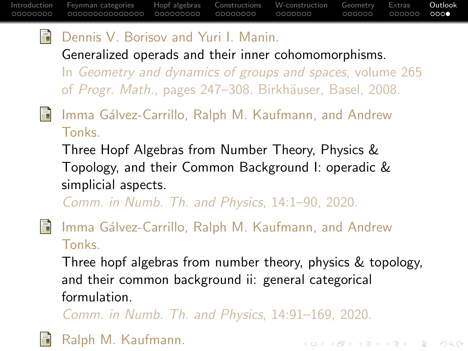**KOD KAR KED KED BOAR** 

#### $\mathbb{R}$ Dennis V. Borisov and Yuri I. Manin.

Generalized operads and their inner cohomomorphisms. In Geometry and dynamics of groups and spaces, volume 265 of Progr. Math., pages 247–308. Birkhäuser, Basel, 2008.

<span id="page-65-1"></span>ā.

Imma Gálvez-Carrillo, Ralph M. Kaufmann, and Andrew **Tonks** 

Three Hopf Algebras from Number Theory, Physics & Topology, and their Common Background I: operadic & simplicial aspects.

Comm. in Numb. Th. and Physics, 14:1–90, 2020.

<span id="page-65-2"></span>量

Imma Gálvez-Carrillo, Ralph M. Kaufmann, and Andrew Tonks.

Three hopf algebras from number theory, physics & topology, and their common background ii: general categorical formulation.

Comm. in Numb. Th. and Physics, 14:91–169, 2020.

<span id="page-65-0"></span>Ralph M. Kaufmann.